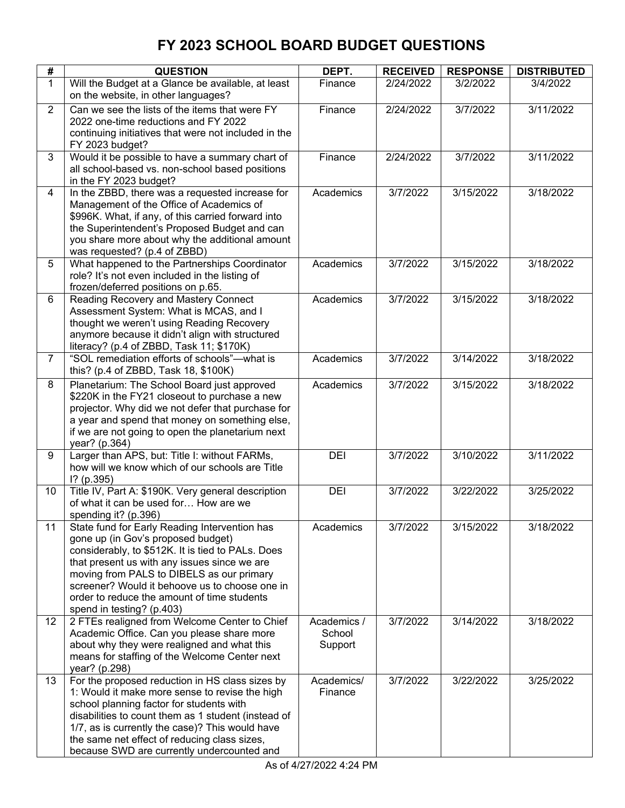| #              | <b>QUESTION</b>                                                                                        | DEPT.                 | <b>RECEIVED</b>    | <b>RESPONSE</b>        | <b>DISTRIBUTED</b>     |
|----------------|--------------------------------------------------------------------------------------------------------|-----------------------|--------------------|------------------------|------------------------|
| $\mathbf{1}$   | Will the Budget at a Glance be available, at least                                                     | Finance               | 2/24/2022          | 3/2/2022               | 3/4/2022               |
|                | on the website, in other languages?                                                                    |                       |                    |                        |                        |
| $\overline{2}$ | Can we see the lists of the items that were FY                                                         | Finance               | 2/24/2022          | 3/7/2022               | 3/11/2022              |
|                | 2022 one-time reductions and FY 2022                                                                   |                       |                    |                        |                        |
|                | continuing initiatives that were not included in the                                                   |                       |                    |                        |                        |
| 3              | FY 2023 budget?<br>Would it be possible to have a summary chart of                                     | Finance               | 2/24/2022          | 3/7/2022               | 3/11/2022              |
|                | all school-based vs. non-school based positions                                                        |                       |                    |                        |                        |
|                | in the FY 2023 budget?                                                                                 |                       |                    |                        |                        |
| $\overline{4}$ | In the ZBBD, there was a requested increase for                                                        | Academics             | 3/7/2022           | 3/15/2022              | 3/18/2022              |
|                | Management of the Office of Academics of                                                               |                       |                    |                        |                        |
|                | \$996K. What, if any, of this carried forward into                                                     |                       |                    |                        |                        |
|                | the Superintendent's Proposed Budget and can                                                           |                       |                    |                        |                        |
|                | you share more about why the additional amount                                                         |                       |                    |                        |                        |
| 5              | was requested? (p.4 of ZBBD)<br>What happened to the Partnerships Coordinator                          | Academics             | 3/7/2022           | $\overline{3}/15/2022$ | $\overline{3}/18/2022$ |
|                | role? It's not even included in the listing of                                                         |                       |                    |                        |                        |
|                | frozen/deferred positions on p.65.                                                                     |                       |                    |                        |                        |
| 6              | Reading Recovery and Mastery Connect                                                                   | Academics             | 3/7/2022           | 3/15/2022              | 3/18/2022              |
|                | Assessment System: What is MCAS, and I                                                                 |                       |                    |                        |                        |
|                | thought we weren't using Reading Recovery                                                              |                       |                    |                        |                        |
|                | anymore because it didn't align with structured                                                        |                       |                    |                        |                        |
| $\overline{7}$ | literacy? (p.4 of ZBBD, Task 11; \$170K)<br>"SOL remediation efforts of schools"-- what is             | Academics             | 3/7/2022           | 3/14/2022              | 3/18/2022              |
|                | this? (p.4 of ZBBD, Task 18, \$100K)                                                                   |                       |                    |                        |                        |
| 8              | Planetarium: The School Board just approved                                                            | Academics             | 3/7/2022           | 3/15/2022              | 3/18/2022              |
|                | \$220K in the FY21 closeout to purchase a new                                                          |                       |                    |                        |                        |
|                | projector. Why did we not defer that purchase for                                                      |                       |                    |                        |                        |
|                | a year and spend that money on something else,                                                         |                       |                    |                        |                        |
|                | if we are not going to open the planetarium next                                                       |                       |                    |                        |                        |
| 9              | year? (p.364)<br>Larger than APS, but: Title I: without FARMs,                                         | DEI                   | 3/7/2022           | 3/10/2022              | 3/11/2022              |
|                | how will we know which of our schools are Title                                                        |                       |                    |                        |                        |
|                | $1?$ (p.395)                                                                                           |                       |                    |                        |                        |
| 10             | Title IV, Part A: \$190K. Very general description                                                     | DEI                   | 3/7/2022           | 3/22/2022              | 3/25/2022              |
|                | of what it can be used for How are we                                                                  |                       |                    |                        |                        |
|                | spending it? (p.396)                                                                                   |                       |                    |                        |                        |
| 11             | State fund for Early Reading Intervention has                                                          | Academics             | 3/7/2022           | 3/15/2022              | 3/18/2022              |
|                | gone up (in Gov's proposed budget)<br>considerably, to \$512K. It is tied to PALs. Does                |                       |                    |                        |                        |
|                | that present us with any issues since we are                                                           |                       |                    |                        |                        |
|                | moving from PALS to DIBELS as our primary                                                              |                       |                    |                        |                        |
|                | screener? Would it behoove us to choose one in                                                         |                       |                    |                        |                        |
|                | order to reduce the amount of time students                                                            |                       |                    |                        |                        |
|                | spend in testing? (p.403)                                                                              |                       |                    |                        |                        |
| 12             | 2 FTEs realigned from Welcome Center to Chief                                                          | Academics /<br>School | 3/7/2022           | 3/14/2022              | 3/18/2022              |
|                | Academic Office. Can you please share more<br>about why they were realigned and what this              | Support               |                    |                        |                        |
|                | means for staffing of the Welcome Center next                                                          |                       |                    |                        |                        |
|                | year? (p.298)                                                                                          |                       |                    |                        |                        |
| 13             | For the proposed reduction in HS class sizes by                                                        | Academics/            | $\frac{3}{7/2022}$ | 3/22/2022              | 3/25/2022              |
|                | 1: Would it make more sense to revise the high                                                         | Finance               |                    |                        |                        |
|                | school planning factor for students with                                                               |                       |                    |                        |                        |
|                | disabilities to count them as 1 student (instead of<br>1/7, as is currently the case)? This would have |                       |                    |                        |                        |
|                | the same net effect of reducing class sizes,                                                           |                       |                    |                        |                        |
|                | because SWD are currently undercounted and                                                             |                       |                    |                        |                        |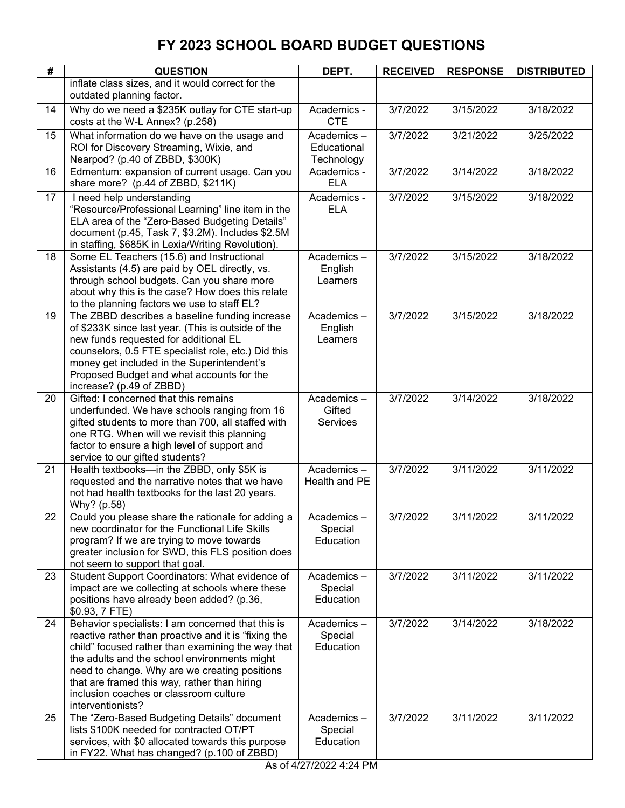| #  | <b>QUESTION</b>                                                                                                                                                                                                                                                                                                                                                                | DEPT.                                   | <b>RECEIVED</b> | <b>RESPONSE</b> | <b>DISTRIBUTED</b> |
|----|--------------------------------------------------------------------------------------------------------------------------------------------------------------------------------------------------------------------------------------------------------------------------------------------------------------------------------------------------------------------------------|-----------------------------------------|-----------------|-----------------|--------------------|
|    | inflate class sizes, and it would correct for the<br>outdated planning factor.                                                                                                                                                                                                                                                                                                 |                                         |                 |                 |                    |
| 14 | Why do we need a \$235K outlay for CTE start-up<br>costs at the W-L Annex? (p.258)                                                                                                                                                                                                                                                                                             | Academics -<br><b>CTE</b>               | 3/7/2022        | 3/15/2022       | 3/18/2022          |
| 15 | What information do we have on the usage and<br>ROI for Discovery Streaming, Wixie, and<br>Nearpod? (p.40 of ZBBD, \$300K)                                                                                                                                                                                                                                                     | Academics-<br>Educational<br>Technology | 3/7/2022        | 3/21/2022       | 3/25/2022          |
| 16 | Edmentum: expansion of current usage. Can you<br>share more? (p.44 of ZBBD, \$211K)                                                                                                                                                                                                                                                                                            | Academics -<br><b>ELA</b>               | 3/7/2022        | 3/14/2022       | 3/18/2022          |
| 17 | I need help understanding<br>"Resource/Professional Learning" line item in the<br>ELA area of the "Zero-Based Budgeting Details"<br>document (p.45, Task 7, \$3.2M). Includes \$2.5M<br>in staffing, \$685K in Lexia/Writing Revolution).                                                                                                                                      | Academics -<br><b>ELA</b>               | 3/7/2022        | 3/15/2022       | 3/18/2022          |
| 18 | Some EL Teachers (15.6) and Instructional<br>Assistants (4.5) are paid by OEL directly, vs.<br>through school budgets. Can you share more<br>about why this is the case? How does this relate<br>to the planning factors we use to staff EL?                                                                                                                                   | Academics-<br>English<br>Learners       | 3/7/2022        | 3/15/2022       | 3/18/2022          |
| 19 | The ZBBD describes a baseline funding increase<br>of \$233K since last year. (This is outside of the<br>new funds requested for additional EL<br>counselors, 0.5 FTE specialist role, etc.) Did this<br>money get included in the Superintendent's<br>Proposed Budget and what accounts for the<br>increase? (p.49 of ZBBD)                                                    | Academics-<br>English<br>Learners       | 3/7/2022        | 3/15/2022       | 3/18/2022          |
| 20 | Gifted: I concerned that this remains<br>underfunded. We have schools ranging from 16<br>gifted students to more than 700, all staffed with<br>one RTG. When will we revisit this planning<br>factor to ensure a high level of support and<br>service to our gifted students?                                                                                                  | Academics-<br>Gifted<br><b>Services</b> | 3/7/2022        | 3/14/2022       | 3/18/2022          |
| 21 | Health textbooks-in the ZBBD, only \$5K is<br>requested and the narrative notes that we have<br>not had health textbooks for the last 20 years.<br>Why? (p.58)                                                                                                                                                                                                                 | Academics-<br>Health and PE             | 3/7/2022        | 3/11/2022       | 3/11/2022          |
| 22 | Could you please share the rationale for adding a<br>new coordinator for the Functional Life Skills<br>program? If we are trying to move towards<br>greater inclusion for SWD, this FLS position does<br>not seem to support that goal.                                                                                                                                        | Academics -<br>Special<br>Education     | 3/7/2022        | 3/11/2022       | 3/11/2022          |
| 23 | Student Support Coordinators: What evidence of<br>impact are we collecting at schools where these<br>positions have already been added? (p.36,<br>\$0.93, 7 FTE)                                                                                                                                                                                                               | Academics-<br>Special<br>Education      | 3/7/2022        | 3/11/2022       | 3/11/2022          |
| 24 | Behavior specialists: I am concerned that this is<br>reactive rather than proactive and it is "fixing the<br>child" focused rather than examining the way that<br>the adults and the school environments might<br>need to change. Why are we creating positions<br>that are framed this way, rather than hiring<br>inclusion coaches or classroom culture<br>interventionists? | Academics-<br>Special<br>Education      | 3/7/2022        | 3/14/2022       | 3/18/2022          |
| 25 | The "Zero-Based Budgeting Details" document<br>lists \$100K needed for contracted OT/PT<br>services, with \$0 allocated towards this purpose<br>in FY22. What has changed? (p.100 of ZBBD)                                                                                                                                                                                     | Academics-<br>Special<br>Education      | 3/7/2022        | 3/11/2022       | 3/11/2022          |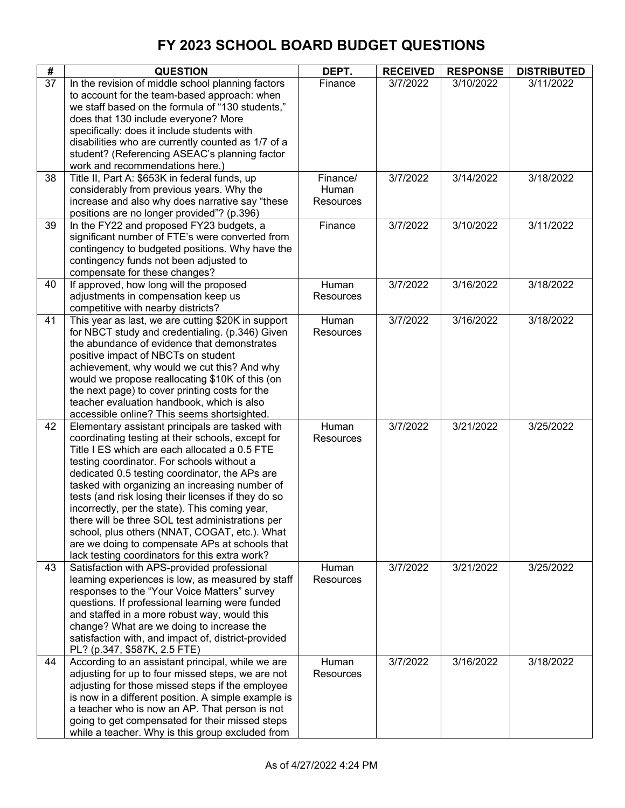| #  | <b>QUESTION</b>                                                                                                                                                                                                                                                                                                                                                                                                                                                                                                                                                                                                           | DEPT.                          | <b>RECEIVED</b> | <b>RESPONSE</b> | <b>DISTRIBUTED</b> |
|----|---------------------------------------------------------------------------------------------------------------------------------------------------------------------------------------------------------------------------------------------------------------------------------------------------------------------------------------------------------------------------------------------------------------------------------------------------------------------------------------------------------------------------------------------------------------------------------------------------------------------------|--------------------------------|-----------------|-----------------|--------------------|
| 37 | In the revision of middle school planning factors<br>to account for the team-based approach: when<br>we staff based on the formula of "130 students,"<br>does that 130 include everyone? More<br>specifically: does it include students with<br>disabilities who are currently counted as 1/7 of a<br>student? (Referencing ASEAC's planning factor<br>work and recommendations here.)                                                                                                                                                                                                                                    | Finance                        | 3/7/2022        | 3/10/2022       | 3/11/2022          |
| 38 | Title II, Part A: \$653K in federal funds, up<br>considerably from previous years. Why the<br>increase and also why does narrative say "these<br>positions are no longer provided"? (p.396)                                                                                                                                                                                                                                                                                                                                                                                                                               | Finance/<br>Human<br>Resources | 3/7/2022        | 3/14/2022       | 3/18/2022          |
| 39 | In the FY22 and proposed FY23 budgets, a<br>significant number of FTE's were converted from<br>contingency to budgeted positions. Why have the<br>contingency funds not been adjusted to<br>compensate for these changes?                                                                                                                                                                                                                                                                                                                                                                                                 | Finance                        | 3/7/2022        | 3/10/2022       | 3/11/2022          |
| 40 | If approved, how long will the proposed<br>adjustments in compensation keep us<br>competitive with nearby districts?                                                                                                                                                                                                                                                                                                                                                                                                                                                                                                      | Human<br>Resources             | 3/7/2022        | 3/16/2022       | 3/18/2022          |
| 41 | This year as last, we are cutting \$20K in support<br>for NBCT study and credentialing. (p.346) Given<br>the abundance of evidence that demonstrates<br>positive impact of NBCTs on student<br>achievement, why would we cut this? And why<br>would we propose reallocating \$10K of this (on<br>the next page) to cover printing costs for the<br>teacher evaluation handbook, which is also<br>accessible online? This seems shortsighted.                                                                                                                                                                              | Human<br>Resources             | 3/7/2022        | 3/16/2022       | 3/18/2022          |
| 42 | Elementary assistant principals are tasked with<br>coordinating testing at their schools, except for<br>Title I ES which are each allocated a 0.5 FTE<br>testing coordinator. For schools without a<br>dedicated 0.5 testing coordinator, the APs are<br>tasked with organizing an increasing number of<br>tests (and risk losing their licenses if they do so<br>incorrectly, per the state). This coming year,<br>there will be three SOL test administrations per<br>school, plus others (NNAT, COGAT, etc.). What<br>are we doing to compensate APs at schools that<br>lack testing coordinators for this extra work? | Human<br>Resources             | 3/7/2022        | 3/21/2022       | 3/25/2022          |
| 43 | Satisfaction with APS-provided professional<br>learning experiences is low, as measured by staff<br>responses to the "Your Voice Matters" survey<br>questions. If professional learning were funded<br>and staffed in a more robust way, would this<br>change? What are we doing to increase the<br>satisfaction with, and impact of, district-provided<br>PL? (p.347, \$587K, 2.5 FTE)                                                                                                                                                                                                                                   | Human<br><b>Resources</b>      | 3/7/2022        | 3/21/2022       | 3/25/2022          |
| 44 | According to an assistant principal, while we are<br>adjusting for up to four missed steps, we are not<br>adjusting for those missed steps if the employee<br>is now in a different position. A simple example is<br>a teacher who is now an AP. That person is not<br>going to get compensated for their missed steps<br>while a teacher. Why is this group excluded from                                                                                                                                                                                                                                                | Human<br>Resources             | 3/7/2022        | 3/16/2022       | 3/18/2022          |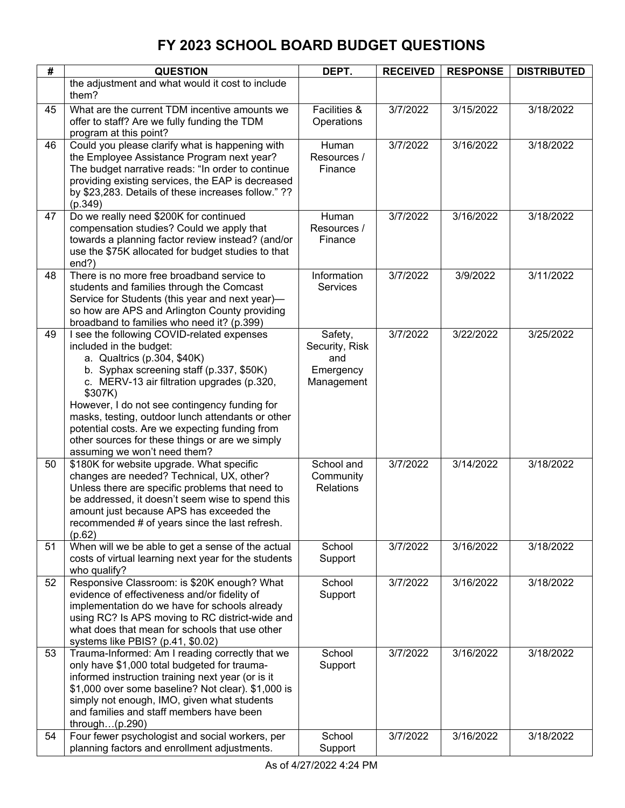| #  | <b>QUESTION</b>                                                                               | DEPT.            | <b>RECEIVED</b> | <b>RESPONSE</b> | <b>DISTRIBUTED</b> |
|----|-----------------------------------------------------------------------------------------------|------------------|-----------------|-----------------|--------------------|
|    | the adjustment and what would it cost to include                                              |                  |                 |                 |                    |
|    | them?                                                                                         |                  |                 |                 |                    |
| 45 | What are the current TDM incentive amounts we                                                 | Facilities &     | 3/7/2022        | 3/15/2022       | 3/18/2022          |
|    | offer to staff? Are we fully funding the TDM                                                  | Operations       |                 |                 |                    |
|    | program at this point?                                                                        |                  |                 |                 |                    |
| 46 | Could you please clarify what is happening with                                               | Human            | 3/7/2022        | 3/16/2022       | 3/18/2022          |
|    | the Employee Assistance Program next year?                                                    | Resources /      |                 |                 |                    |
|    | The budget narrative reads: "In order to continue                                             | Finance          |                 |                 |                    |
|    | providing existing services, the EAP is decreased                                             |                  |                 |                 |                    |
|    | by \$23,283. Details of these increases follow." ??                                           |                  |                 |                 |                    |
|    | (p.349)                                                                                       |                  |                 |                 |                    |
| 47 | Do we really need \$200K for continued                                                        | Human            | 3/7/2022        | 3/16/2022       | 3/18/2022          |
|    | compensation studies? Could we apply that                                                     | Resources /      |                 |                 |                    |
|    | towards a planning factor review instead? (and/or                                             | Finance          |                 |                 |                    |
|    | use the \$75K allocated for budget studies to that<br>end?)                                   |                  |                 |                 |                    |
| 48 | There is no more free broadband service to                                                    | Information      | 3/7/2022        | 3/9/2022        | 3/11/2022          |
|    | students and families through the Comcast                                                     | <b>Services</b>  |                 |                 |                    |
|    | Service for Students (this year and next year)-                                               |                  |                 |                 |                    |
|    | so how are APS and Arlington County providing                                                 |                  |                 |                 |                    |
|    | broadband to families who need it? (p.399)                                                    |                  |                 |                 |                    |
| 49 | I see the following COVID-related expenses                                                    | Safety,          | 3/7/2022        | 3/22/2022       | 3/25/2022          |
|    | included in the budget:                                                                       | Security, Risk   |                 |                 |                    |
|    | a. Qualtrics (p.304, \$40K)                                                                   | and              |                 |                 |                    |
|    | b. Syphax screening staff (p.337, \$50K)                                                      | Emergency        |                 |                 |                    |
|    | c. MERV-13 air filtration upgrades (p.320,                                                    | Management       |                 |                 |                    |
|    | \$307K)                                                                                       |                  |                 |                 |                    |
|    | However, I do not see contingency funding for                                                 |                  |                 |                 |                    |
|    | masks, testing, outdoor lunch attendants or other                                             |                  |                 |                 |                    |
|    | potential costs. Are we expecting funding from                                                |                  |                 |                 |                    |
|    | other sources for these things or are we simply<br>assuming we won't need them?               |                  |                 |                 |                    |
| 50 | \$180K for website upgrade. What specific                                                     | School and       | 3/7/2022        | 3/14/2022       | 3/18/2022          |
|    | changes are needed? Technical, UX, other?                                                     | Community        |                 |                 |                    |
|    | Unless there are specific problems that need to                                               | <b>Relations</b> |                 |                 |                    |
|    | be addressed, it doesn't seem wise to spend this                                              |                  |                 |                 |                    |
|    | amount just because APS has exceeded the                                                      |                  |                 |                 |                    |
|    | recommended # of years since the last refresh.                                                |                  |                 |                 |                    |
|    | (p.62)                                                                                        |                  |                 |                 |                    |
| 51 | When will we be able to get a sense of the actual                                             | School           | 3/7/2022        | 3/16/2022       | 3/18/2022          |
|    | costs of virtual learning next year for the students                                          | Support          |                 |                 |                    |
|    | who qualify?                                                                                  |                  |                 |                 |                    |
| 52 | Responsive Classroom: is \$20K enough? What                                                   | School           | 3/7/2022        | 3/16/2022       | 3/18/2022          |
|    | evidence of effectiveness and/or fidelity of<br>implementation do we have for schools already | Support          |                 |                 |                    |
|    | using RC? Is APS moving to RC district-wide and                                               |                  |                 |                 |                    |
|    | what does that mean for schools that use other                                                |                  |                 |                 |                    |
|    | systems like PBIS? (p.41, \$0.02)                                                             |                  |                 |                 |                    |
| 53 | Trauma-Informed: Am I reading correctly that we                                               | School           | 3/7/2022        | 3/16/2022       | 3/18/2022          |
|    | only have \$1,000 total budgeted for trauma-                                                  | Support          |                 |                 |                    |
|    | informed instruction training next year (or is it                                             |                  |                 |                 |                    |
|    | \$1,000 over some baseline? Not clear). \$1,000 is                                            |                  |                 |                 |                    |
|    | simply not enough, IMO, given what students                                                   |                  |                 |                 |                    |
|    | and families and staff members have been                                                      |                  |                 |                 |                    |
|    | through $(p.290)$                                                                             |                  |                 |                 |                    |
| 54 | Four fewer psychologist and social workers, per                                               | School           | 3/7/2022        | 3/16/2022       | 3/18/2022          |
|    | planning factors and enrollment adjustments.                                                  | Support          |                 |                 |                    |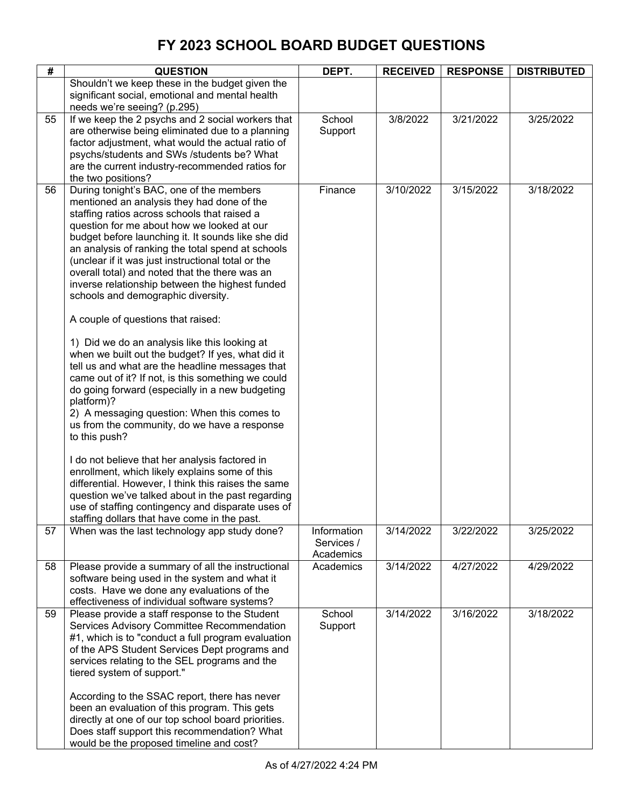| #  | <b>QUESTION</b>                                                                                                                                                                                                                                                                                                                                                                                                                                                                                                                                                                                                                                                                                                                                                                                                                                                                                                                                                                                                                                                                                                                                                                                                                                             | DEPT.                                  | <b>RECEIVED</b> | <b>RESPONSE</b> | <b>DISTRIBUTED</b> |
|----|-------------------------------------------------------------------------------------------------------------------------------------------------------------------------------------------------------------------------------------------------------------------------------------------------------------------------------------------------------------------------------------------------------------------------------------------------------------------------------------------------------------------------------------------------------------------------------------------------------------------------------------------------------------------------------------------------------------------------------------------------------------------------------------------------------------------------------------------------------------------------------------------------------------------------------------------------------------------------------------------------------------------------------------------------------------------------------------------------------------------------------------------------------------------------------------------------------------------------------------------------------------|----------------------------------------|-----------------|-----------------|--------------------|
|    | Shouldn't we keep these in the budget given the<br>significant social, emotional and mental health<br>needs we're seeing? (p.295)                                                                                                                                                                                                                                                                                                                                                                                                                                                                                                                                                                                                                                                                                                                                                                                                                                                                                                                                                                                                                                                                                                                           |                                        |                 |                 |                    |
| 55 | If we keep the 2 psychs and 2 social workers that<br>are otherwise being eliminated due to a planning<br>factor adjustment, what would the actual ratio of<br>psychs/students and SWs /students be? What<br>are the current industry-recommended ratios for<br>the two positions?                                                                                                                                                                                                                                                                                                                                                                                                                                                                                                                                                                                                                                                                                                                                                                                                                                                                                                                                                                           | School<br>Support                      | 3/8/2022        | 3/21/2022       | 3/25/2022          |
| 56 | During tonight's BAC, one of the members<br>mentioned an analysis they had done of the<br>staffing ratios across schools that raised a<br>question for me about how we looked at our<br>budget before launching it. It sounds like she did<br>an analysis of ranking the total spend at schools<br>(unclear if it was just instructional total or the<br>overall total) and noted that the there was an<br>inverse relationship between the highest funded<br>schools and demographic diversity.<br>A couple of questions that raised:<br>1) Did we do an analysis like this looking at<br>when we built out the budget? If yes, what did it<br>tell us and what are the headline messages that<br>came out of it? If not, is this something we could<br>do going forward (especially in a new budgeting<br>platform)?<br>2) A messaging question: When this comes to<br>us from the community, do we have a response<br>to this push?<br>I do not believe that her analysis factored in<br>enrollment, which likely explains some of this<br>differential. However, I think this raises the same<br>question we've talked about in the past regarding<br>use of staffing contingency and disparate uses of<br>staffing dollars that have come in the past. | Finance                                | 3/10/2022       | 3/15/2022       | 3/18/2022          |
| 57 | When was the last technology app study done?                                                                                                                                                                                                                                                                                                                                                                                                                                                                                                                                                                                                                                                                                                                                                                                                                                                                                                                                                                                                                                                                                                                                                                                                                | Information<br>Services /<br>Academics | 3/14/2022       | 3/22/2022       | 3/25/2022          |
| 58 | Please provide a summary of all the instructional<br>software being used in the system and what it<br>costs. Have we done any evaluations of the<br>effectiveness of individual software systems?                                                                                                                                                                                                                                                                                                                                                                                                                                                                                                                                                                                                                                                                                                                                                                                                                                                                                                                                                                                                                                                           | Academics                              | 3/14/2022       | 4/27/2022       | 4/29/2022          |
| 59 | Please provide a staff response to the Student<br>Services Advisory Committee Recommendation<br>#1, which is to "conduct a full program evaluation<br>of the APS Student Services Dept programs and<br>services relating to the SEL programs and the<br>tiered system of support."<br>According to the SSAC report, there has never<br>been an evaluation of this program. This gets<br>directly at one of our top school board priorities.<br>Does staff support this recommendation? What<br>would be the proposed timeline and cost?                                                                                                                                                                                                                                                                                                                                                                                                                                                                                                                                                                                                                                                                                                                     | School<br>Support                      | 3/14/2022       | 3/16/2022       | 3/18/2022          |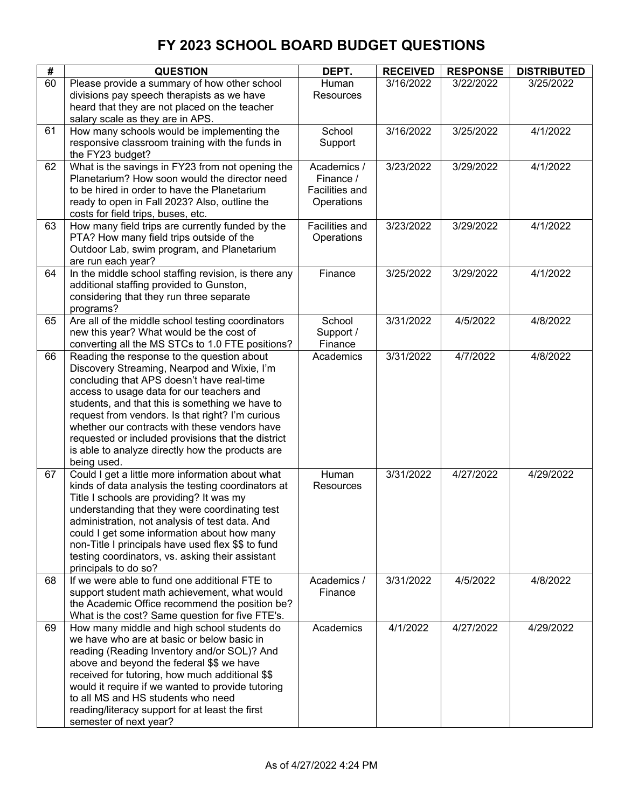| #  | <b>QUESTION</b>                                                                                                                                                                                                                                                                                                                                                                                                                                                       | DEPT.                                                    | <b>RECEIVED</b> | <b>RESPONSE</b> | <b>DISTRIBUTED</b> |
|----|-----------------------------------------------------------------------------------------------------------------------------------------------------------------------------------------------------------------------------------------------------------------------------------------------------------------------------------------------------------------------------------------------------------------------------------------------------------------------|----------------------------------------------------------|-----------------|-----------------|--------------------|
| 60 | Please provide a summary of how other school<br>divisions pay speech therapists as we have<br>heard that they are not placed on the teacher<br>salary scale as they are in APS.                                                                                                                                                                                                                                                                                       | Human<br>Resources                                       | 3/16/2022       | 3/22/2022       | 3/25/2022          |
| 61 | How many schools would be implementing the<br>responsive classroom training with the funds in<br>the FY23 budget?                                                                                                                                                                                                                                                                                                                                                     | School<br>Support                                        | 3/16/2022       | 3/25/2022       | 4/1/2022           |
| 62 | What is the savings in FY23 from not opening the<br>Planetarium? How soon would the director need<br>to be hired in order to have the Planetarium<br>ready to open in Fall 2023? Also, outline the<br>costs for field trips, buses, etc.                                                                                                                                                                                                                              | Academics /<br>Finance /<br>Facilities and<br>Operations | 3/23/2022       | 3/29/2022       | 4/1/2022           |
| 63 | How many field trips are currently funded by the<br>PTA? How many field trips outside of the<br>Outdoor Lab, swim program, and Planetarium<br>are run each year?                                                                                                                                                                                                                                                                                                      | Facilities and<br>Operations                             | 3/23/2022       | 3/29/2022       | 4/1/2022           |
| 64 | In the middle school staffing revision, is there any<br>additional staffing provided to Gunston,<br>considering that they run three separate<br>programs?                                                                                                                                                                                                                                                                                                             | Finance                                                  | 3/25/2022       | 3/29/2022       | 4/1/2022           |
| 65 | Are all of the middle school testing coordinators<br>new this year? What would be the cost of<br>converting all the MS STCs to 1.0 FTE positions?                                                                                                                                                                                                                                                                                                                     | School<br>Support /<br>Finance                           | 3/31/2022       | 4/5/2022        | 4/8/2022           |
| 66 | Reading the response to the question about<br>Discovery Streaming, Nearpod and Wixie, I'm<br>concluding that APS doesn't have real-time<br>access to usage data for our teachers and<br>students, and that this is something we have to<br>request from vendors. Is that right? I'm curious<br>whether our contracts with these vendors have<br>requested or included provisions that the district<br>is able to analyze directly how the products are<br>being used. | Academics                                                | 3/31/2022       | 4/7/2022        | 4/8/2022           |
| 67 | Could I get a little more information about what<br>kinds of data analysis the testing coordinators at<br>Title I schools are providing? It was my<br>understanding that they were coordinating test<br>administration, not analysis of test data. And<br>could I get some information about how many<br>non-Title I principals have used flex \$\$ to fund<br>testing coordinators, vs. asking their assistant<br>principals to do so?                               | Human<br>Resources                                       | 3/31/2022       | 4/27/2022       | 4/29/2022          |
| 68 | If we were able to fund one additional FTE to<br>support student math achievement, what would<br>the Academic Office recommend the position be?<br>What is the cost? Same question for five FTE's.                                                                                                                                                                                                                                                                    | Academics /<br>Finance                                   | 3/31/2022       | 4/5/2022        | 4/8/2022           |
| 69 | How many middle and high school students do<br>we have who are at basic or below basic in<br>reading (Reading Inventory and/or SOL)? And<br>above and beyond the federal \$\$ we have<br>received for tutoring, how much additional \$\$<br>would it require if we wanted to provide tutoring<br>to all MS and HS students who need<br>reading/literacy support for at least the first<br>semester of next year?                                                      | Academics                                                | 4/1/2022        | 4/27/2022       | 4/29/2022          |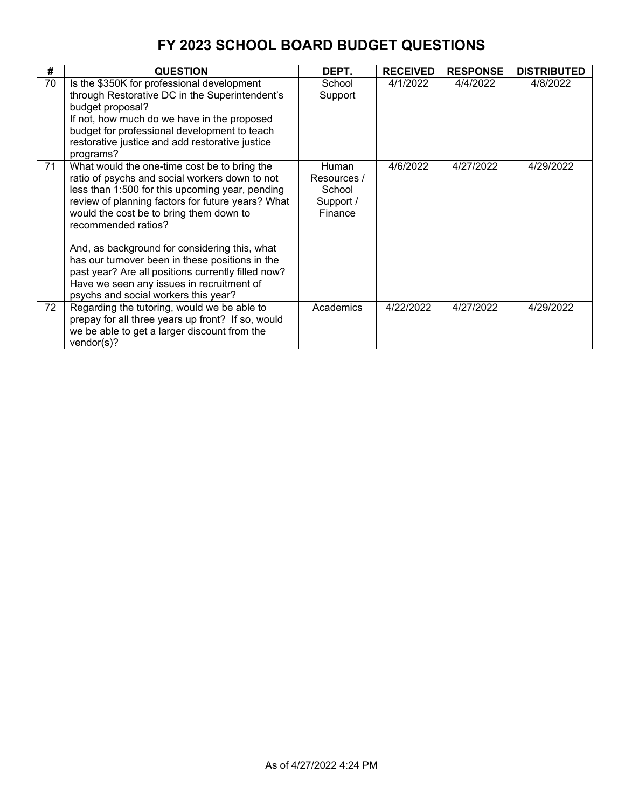| #  | <b>QUESTION</b>                                                                                                                                                                                                                                                                                                                                                                                                                                                                                                         | DEPT.                                                         | <b>RECEIVED</b> | <b>RESPONSE</b> | <b>DISTRIBUTED</b> |
|----|-------------------------------------------------------------------------------------------------------------------------------------------------------------------------------------------------------------------------------------------------------------------------------------------------------------------------------------------------------------------------------------------------------------------------------------------------------------------------------------------------------------------------|---------------------------------------------------------------|-----------------|-----------------|--------------------|
| 70 | Is the \$350K for professional development<br>through Restorative DC in the Superintendent's<br>budget proposal?<br>If not, how much do we have in the proposed<br>budget for professional development to teach<br>restorative justice and add restorative justice<br>programs?                                                                                                                                                                                                                                         | School<br>Support                                             | 4/1/2022        | 4/4/2022        | 4/8/2022           |
| 71 | What would the one-time cost be to bring the<br>ratio of psychs and social workers down to not<br>less than 1:500 for this upcoming year, pending<br>review of planning factors for future years? What<br>would the cost be to bring them down to<br>recommended ratios?<br>And, as background for considering this, what<br>has our turnover been in these positions in the<br>past year? Are all positions currently filled now?<br>Have we seen any issues in recruitment of<br>psychs and social workers this year? | <b>Human</b><br>Resources /<br>School<br>Support /<br>Finance | 4/6/2022        | 4/27/2022       | 4/29/2022          |
| 72 | Regarding the tutoring, would we be able to<br>prepay for all three years up front? If so, would<br>we be able to get a larger discount from the<br>vendor(s)?                                                                                                                                                                                                                                                                                                                                                          | Academics                                                     | 4/22/2022       | 4/27/2022       | 4/29/2022          |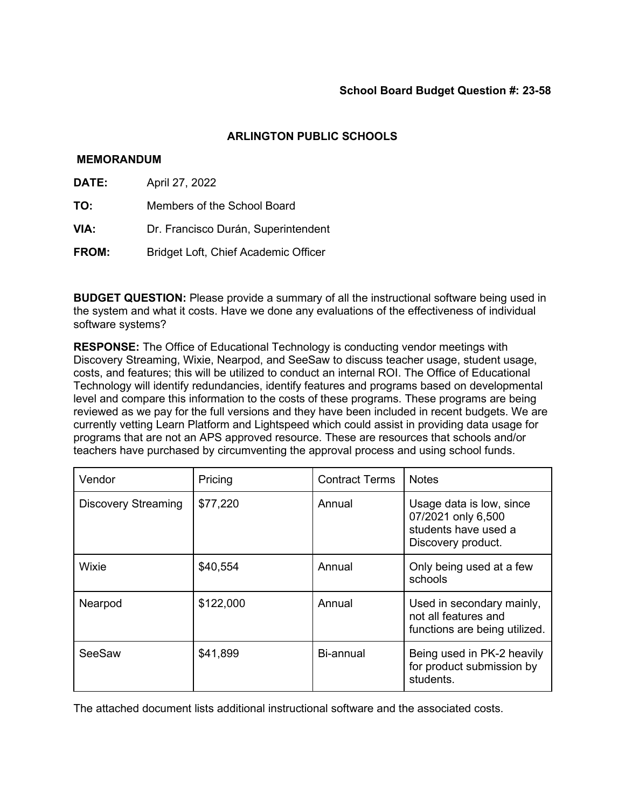## **MEMORANDUM**

- **DATE:** April 27, 2022
- **TO:** Members of the School Board
- **VIA:** Dr. Francisco Durán, Superintendent
- **FROM:** Bridget Loft, Chief Academic Officer

**BUDGET QUESTION:** Please provide a summary of all the instructional software being used in the system and what it costs. Have we done any evaluations of the effectiveness of individual software systems?

**RESPONSE:** The Office of Educational Technology is conducting vendor meetings with Discovery Streaming, Wixie, Nearpod, and SeeSaw to discuss teacher usage, student usage, costs, and features; this will be utilized to conduct an internal ROI. The Office of Educational Technology will identify redundancies, identify features and programs based on developmental level and compare this information to the costs of these programs. These programs are being reviewed as we pay for the full versions and they have been included in recent budgets. We are currently vetting Learn Platform and Lightspeed which could assist in providing data usage for programs that are not an APS approved resource. These are resources that schools and/or teachers have purchased by circumventing the approval process and using school funds.

| Vendor                     | Pricing   | <b>Contract Terms</b> | <b>Notes</b>                                                                                 |
|----------------------------|-----------|-----------------------|----------------------------------------------------------------------------------------------|
| <b>Discovery Streaming</b> | \$77,220  | Annual                | Usage data is low, since<br>07/2021 only 6,500<br>students have used a<br>Discovery product. |
| Wixie                      | \$40,554  | Annual                | Only being used at a few<br>schools                                                          |
| Nearpod                    | \$122,000 | Annual                | Used in secondary mainly,<br>not all features and<br>functions are being utilized.           |
| SeeSaw                     | \$41,899  | Bi-annual             | Being used in PK-2 heavily<br>for product submission by<br>students.                         |

The attached document lists additional instructional software and the associated costs.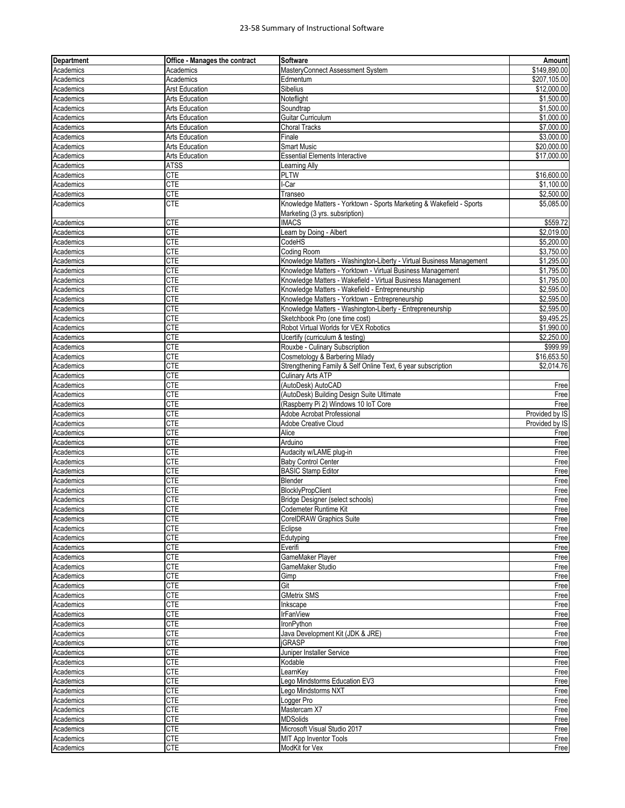#### 23‐58 Summary of Instructional Software

| <b>Department</b> | <b>Office - Manages the contract</b> | <b>Software</b>                                                      | Amountl                |
|-------------------|--------------------------------------|----------------------------------------------------------------------|------------------------|
| Academics         | Academics                            | MasteryConnect Assessment System                                     | \$149,890.00           |
| Academics         | Academics                            | Edmentum                                                             | \$207,105.00           |
| Academics         | <b>Arst Education</b>                | Sibelius                                                             | \$12,000.00            |
| Academics         | Arts Education                       | Noteflight                                                           | \$1,500.00             |
| Academics         | <b>Arts Education</b>                | Soundtrap                                                            | \$1,500.00             |
| Academics         | <b>Arts Education</b>                | Guitar Curriculum                                                    | \$1,000.00             |
| Academics         | <b>Arts Education</b>                | <b>Choral Tracks</b>                                                 | \$7,000.00             |
| Academics         | <b>Arts Education</b>                | Finale                                                               | \$3,000.00             |
| Academics         | <b>Arts Education</b>                | <b>Smart Music</b>                                                   | \$20,000.00            |
| Academics         | <b>Arts Education</b>                | <b>Essential Elements Interactive</b>                                | \$17,000.00            |
| Academics         | <b>ATSS</b>                          | <b>Learning Ally</b>                                                 |                        |
| Academics         | <b>CTE</b>                           | <b>PLTW</b>                                                          | \$16,600.00            |
| Academics         | <b>CTE</b>                           | l-Car                                                                | \$1,100.00             |
| Academics         | <b>CTE</b>                           | Transeo                                                              | \$2,500.00             |
| Academics         | <b>CTE</b>                           | Knowledge Matters - Yorktown - Sports Marketing & Wakefield - Sports | \$5,085.00             |
|                   |                                      | Marketing (3 yrs. subsription)                                       |                        |
| Academics         | <b>CTE</b>                           | <b>IMACS</b>                                                         | \$559.72               |
| Academics         | <b>CTE</b>                           | Learn by Doing - Albert                                              | \$2,019.00             |
| Academics         | <b>CTE</b>                           | CodeHS                                                               | \$5,200.00             |
| Academics         | <b>CTE</b>                           | Coding Room                                                          | \$3,750.00             |
| Academics         | <b>CTE</b>                           | Knowledge Matters - Washington-Liberty - Virtual Business Management | \$1,295.00             |
| Academics         | <b>CTE</b>                           | Knowledge Matters - Yorktown - Virtual Business Management           | \$1,795.00             |
| Academics         | <b>CTE</b>                           | Knowledge Matters - Wakefield - Virtual Business Management          | \$1,795.00             |
| Academics         | <b>CTE</b>                           | Knowledge Matters - Wakefield - Entrepreneurship                     | \$2,595.00             |
| Academics         | <b>CTE</b>                           | Knowledge Matters - Yorktown - Entrepreneurship                      | \$2,595.00             |
| Academics         | <b>CTE</b>                           | Knowledge Matters - Washington-Liberty - Entrepreneurship            | \$2,595.00             |
|                   | <b>CTE</b>                           | Sketchbook Pro (one time cost)                                       | \$9,495.25             |
| Academics         |                                      | Robot Virtual Worlds for VEX Robotics                                | \$1,990.00             |
| Academics         | <b>CTE</b>                           |                                                                      |                        |
| Academics         | <b>CTE</b><br><b>CTE</b>             | Ucertify (curriculum & testing)<br>Rouxbe - Culinary Subscription    | \$2,250.00<br>\$999.99 |
| Academics         |                                      |                                                                      |                        |
| Academics         | <b>CTE</b>                           | Cosmetology & Barbering Milady                                       | \$16,653.50            |
| Academics         | <b>CTE</b>                           | Strengthening Family & Self Online Text, 6 year subscription         | \$2,014.76             |
| Academics         | <b>CTE</b>                           | <b>Culinary Arts ATP</b>                                             |                        |
| Academics         | <b>CTE</b>                           | (AutoDesk) AutoCAD                                                   | Free                   |
| Academics         | <b>CTE</b>                           | (AutoDesk) Building Design Suite Ultimate                            | Free                   |
| Academics         | <b>CTE</b>                           | (Raspberry Pi 2) Windows 10 IoT Core                                 | Free                   |
| Academics         | <b>CTE</b>                           | Adobe Acrobat Professional                                           | Provided by IS         |
| Academics         | <b>CTE</b>                           | <b>Adobe Creative Cloud</b>                                          | Provided by IS         |
| Academics         | <b>CTE</b>                           | Alice                                                                | Free                   |
| Academics         | <b>CTE</b>                           | Arduino                                                              | Free                   |
| Academics         | <b>CTE</b>                           | Audacity w/LAME plug-in                                              | Free                   |
| Academics         | <b>CTE</b>                           | <b>Baby Control Center</b>                                           | Free                   |
| Academics         | <b>CTE</b>                           | <b>BASIC Stamp Editor</b>                                            | Free                   |
| Academics         | <b>CTE</b>                           | Blender                                                              | Free                   |
| Academics         | <b>CTE</b>                           | BlocklyPropClient                                                    | Free                   |
| Academics         | <b>CTE</b>                           | Bridge Designer (select schools)                                     | Free                   |
| Academics         | <b>CTE</b>                           | Codemeter Runtime Kit                                                | Free                   |
| Academics         | <b>CTE</b>                           | CorelDRAW Graphics Suite                                             | Free                   |
| Academics         | <b>CTE</b>                           | Eclipse                                                              | Free                   |
| Academics         | <b>CTE</b>                           | Edutyping                                                            | Free                   |
| Academics         | <b>CTE</b>                           | Everifi                                                              | Free                   |
| Academics         | <b>CTE</b>                           | GameMaker Player                                                     | Free                   |
| Academics         | <b>CTE</b>                           | GameMaker Studio                                                     | Free                   |
| Academics         | <b>CTE</b>                           | Gimp                                                                 | Free                   |
| Academics         | <b>CTE</b>                           | Git                                                                  | Free                   |
| Academics         | <b>CTE</b>                           | <b>GMetrix SMS</b>                                                   | Free                   |
| Academics         | <b>CTE</b>                           | Inkscape                                                             | Free                   |
| Academics         | <b>CTE</b>                           | <b>IrFanView</b>                                                     | Free                   |
| Academics         | <b>CTE</b>                           | IronPython                                                           | Free                   |
| Academics         | <b>CTE</b>                           | Java Development Kit (JDK & JRE)                                     | Free                   |
| Academics         | <b>CTE</b>                           | <b>jGRASP</b>                                                        | Free                   |
| Academics         | <b>CTE</b>                           | Juniper Installer Service                                            | Free                   |
| Academics         | <b>CTE</b>                           | Kodable                                                              | Free                   |
| Academics         | <b>CTE</b>                           | LearnKey                                                             | Free                   |
| Academics         | <b>CTE</b>                           | Lego Mindstorms Education EV3                                        | Free                   |
| Academics         | <b>CTE</b>                           | Lego Mindstorms NXT                                                  | Free                   |
| Academics         | <b>CTE</b>                           | Logger Pro                                                           | Free                   |
| Academics         | <b>CTE</b>                           | Mastercam X7                                                         | Free                   |
| Academics         | <b>CTE</b>                           | <b>MDSolids</b>                                                      | Free                   |
| Academics         | <b>CTE</b>                           | Microsoft Visual Studio 2017                                         | Free                   |
| Academics         | <b>CTE</b>                           | MIT App Inventor Tools                                               | Free                   |
| Academics         | <b>CTE</b>                           | ModKit for Vex                                                       | Free                   |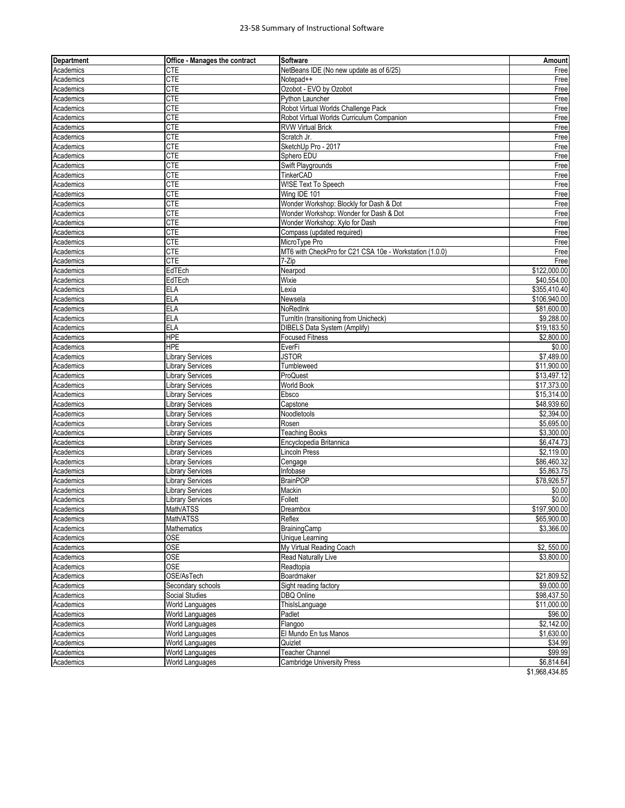#### 23‐58 Summary of Instructional Software

| <b>Department</b> | <b>Office - Manages the contract</b> | <b>Software</b>                                         | Amount                 |
|-------------------|--------------------------------------|---------------------------------------------------------|------------------------|
| Academics         | CTE                                  | NetBeans IDE (No new update as of 6/25)                 | Free                   |
| Academics         | <b>CTE</b>                           | Notepad++                                               | Free                   |
| Academics         | <b>CTE</b>                           | Ozobot - EVO by Ozobot                                  | Free                   |
| Academics         | <b>CTE</b>                           | Python Launcher                                         | Free                   |
| Academics         | <b>CTE</b>                           | Robot Virtual Worlds Challenge Pack                     | Free                   |
| Academics         | <b>CTE</b>                           | Robot Virtual Worlds Curriculum Companion               | Free                   |
| Academics         | <b>CTE</b>                           | <b>RVW Virtual Brick</b>                                | Free                   |
| Academics         | <b>CTE</b>                           | Scratch Jr.                                             | Free                   |
| Academics         | <b>CTE</b>                           | SketchUp Pro - 2017                                     | Free                   |
| Academics         | <b>CTE</b>                           | Sphero EDU                                              | Free                   |
| Academics         | <b>CTE</b>                           | Swift Playgrounds                                       | Free                   |
| Academics         | <b>CTE</b>                           | TinkerCAD                                               | Free                   |
| Academics         | <b>CTE</b>                           | W!SE Text To Speech                                     | Free                   |
| Academics         | <b>CTE</b>                           | Wing IDE 101                                            | Free                   |
| Academics         | <b>CTE</b>                           | Wonder Workshop: Blockly for Dash & Dot                 | Free                   |
| Academics         | <b>CTE</b>                           | Wonder Workshop: Wonder for Dash & Dot                  | Free                   |
| Academics         | <b>CTE</b>                           | Wonder Workshop: Xylo for Dash                          | Free                   |
| Academics         | <b>CTE</b>                           | Compass (updated required)                              | Free                   |
| Academics         | <b>CTE</b>                           | MicroType Pro                                           | Free                   |
| Academics         | CTE                                  | MT6 with CheckPro for C21 CSA 10e - Workstation (1.0.0) | Free                   |
| Academics         | <b>CTE</b>                           | 7-Zip                                                   | Free                   |
| Academics         | EdTEch                               | Nearpod                                                 | \$122,000.00           |
| Academics         | EdTEch                               | Wixie                                                   | \$40,554.00            |
| Academics         | <b>ELA</b>                           | Lexia                                                   | \$355,410.40           |
| Academics         | <b>ELA</b>                           | Newsela                                                 | \$106,940.00           |
| Academics         | <b>ELA</b>                           | NoRedInk                                                | \$81,600.00            |
| Academics         | <b>ELA</b>                           | TurnItIn (transitioning from Unicheck)                  | \$9,288.00             |
| Academics         | <b>ELA</b>                           | DIBELS Data System (Amplify)                            | \$19,183.50            |
| Academics         | <b>HPE</b>                           | <b>Focused Fitness</b>                                  | \$2,800.00             |
| Academics         | <b>HPE</b>                           | EverFi                                                  | \$0.00                 |
| Academics         | Library Services                     | <b>JSTOR</b>                                            | \$7,489.00             |
| Academics         | <b>Library Services</b>              | Tumbleweed                                              | \$11,900.00            |
| Academics         | Library Services                     | ProQuest                                                | \$13,497.12            |
| Academics         | <b>Library Services</b>              | <b>World Book</b>                                       | \$17,373.00            |
| Academics         | Library Services                     | Ebsco                                                   | \$15,314.00            |
| Academics         | Library Services                     | Capstone                                                | \$48,939.60            |
| Academics         | Library Services                     | Noodletools                                             | $\overline{$2,394.00}$ |
| Academics         | Library Services                     | Rosen                                                   | \$5,695.00             |
| Academics         | Library Services                     | <b>Teaching Books</b>                                   | \$3,300.00             |
| Academics         | Library Services                     | Encyclopedia Britannica                                 | \$6,474.73             |
| Academics         | <b>Library Services</b>              | <b>Lincoln Press</b>                                    | \$2.119.00             |
| Academics         | Library Services                     | Cengage                                                 | \$86,460.32            |
| Academics         | Library Services                     | Infobase                                                | \$5,863.75             |
| Academics         | <b>Library Services</b>              | <b>BrainPOP</b>                                         | \$78,926.57            |
| Academics         | <b>Library Services</b>              | Mackin                                                  | \$0.00                 |
| Academics         | Library Services                     | Follett                                                 | \$0.00                 |
| Academics         | Math/ATSS                            | Dreambox                                                | \$197,900.00           |
| Academics         | Math/ATSS                            | Reflex                                                  | \$65,900.00            |
| Academics         | Mathematics                          | BrainingCamp                                            | \$3,366.00             |
| Academics         | <b>OSE</b>                           | <b>Unique Learning</b>                                  |                        |
| Academics         | <b>OSE</b>                           | My Virtual Reading Coach                                | \$2,550.00             |
| Academics         | <b>OSE</b>                           | <b>Read Naturally Live</b>                              | \$3,800.00             |
| Academics         | <b>OSE</b>                           | Readtopia                                               |                        |
| Academics         | OSE/AsTech                           | Boardmaker                                              | \$21,809.52            |
| Academics         | Secondary schools                    | Sight reading factory                                   | \$9,000.00             |
| Academics         | Social Studies                       | <b>DBQ Online</b>                                       | \$98,437.50            |
| Academics         | World Languages                      | ThisIsLanguage                                          | \$11,000.00            |
| Academics         | World Languages                      | Padlet                                                  | \$96.00                |
| Academics         | World Languages                      | Flangoo                                                 | \$2,142.00             |
| Academics         | World Languages                      | El Mundo En tus Manos                                   | \$1,630.00             |
| Academics         | World Languages                      | Quizlet                                                 | \$34.99                |
| Academics         | World Languages                      | <b>Teacher Channel</b>                                  | \$99.99                |
| Academics         | World Languages                      | <b>Cambridge University Press</b>                       | \$6,814.64             |
|                   |                                      |                                                         | $AA$ OCO $AA$ OF       |

\$1,968,434.85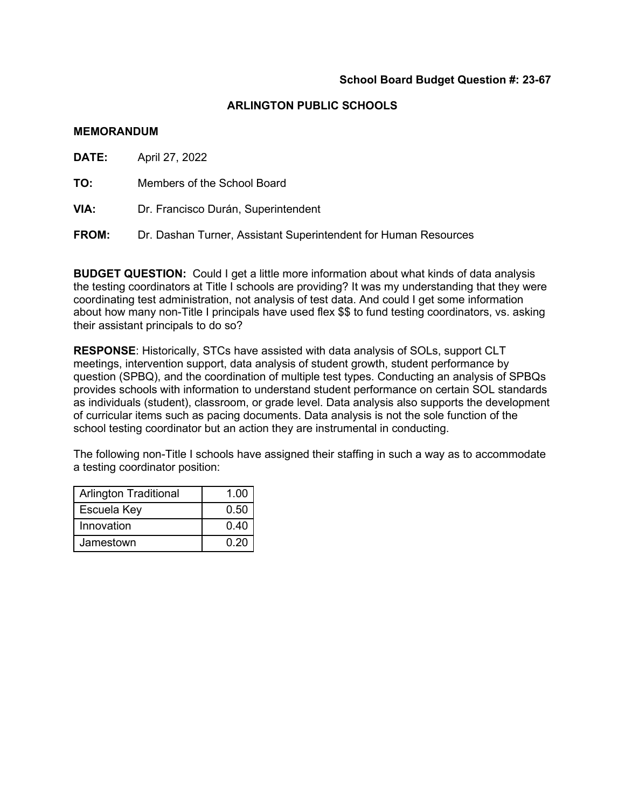### **MEMORANDUM**

**DATE:** April 27, 2022

**TO:** Members of the School Board

**VIA:** Dr. Francisco Durán, Superintendent

**FROM:** Dr. Dashan Turner, Assistant Superintendent for Human Resources

**BUDGET QUESTION:** Could I get a little more information about what kinds of data analysis the testing coordinators at Title I schools are providing? It was my understanding that they were coordinating test administration, not analysis of test data. And could I get some information about how many non-Title I principals have used flex \$\$ to fund testing coordinators, vs. asking their assistant principals to do so?

**RESPONSE**: Historically, STCs have assisted with data analysis of SOLs, support CLT meetings, intervention support, data analysis of student growth, student performance by question (SPBQ), and the coordination of multiple test types. Conducting an analysis of SPBQs provides schools with information to understand student performance on certain SOL standards as individuals (student), classroom, or grade level. Data analysis also supports the development of curricular items such as pacing documents. Data analysis is not the sole function of the school testing coordinator but an action they are instrumental in conducting.

The following non-Title I schools have assigned their staffing in such a way as to accommodate a testing coordinator position:

| <b>Arlington Traditional</b> | 1.00 |
|------------------------------|------|
| Escuela Key                  | 0.50 |
| Innovation                   | 0.40 |
| Jamestown                    | 0.20 |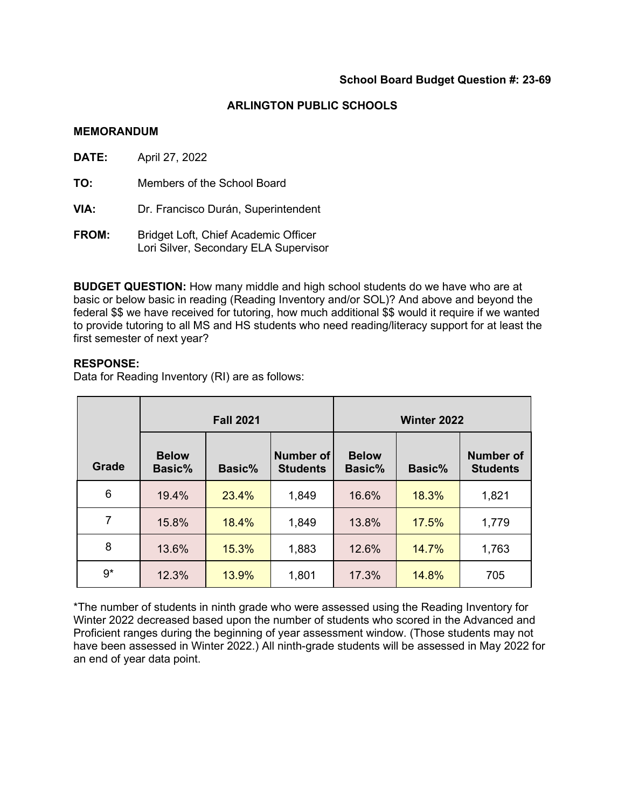$\overline{\phantom{0}}$ 

### **ARLINGTON PUBLIC SCHOOLS**

### **MEMORANDUM**

| DATE:        | April 27, 2022                                                                |
|--------------|-------------------------------------------------------------------------------|
| TO:          | Members of the School Board                                                   |
| VIA:         | Dr. Francisco Durán, Superintendent                                           |
| <b>FROM:</b> | Bridget Loft, Chief Academic Officer<br>Lori Silver, Secondary ELA Supervisor |

**BUDGET QUESTION:** How many middle and high school students do we have who are at basic or below basic in reading (Reading Inventory and/or SOL)? And above and beyond the federal \$\$ we have received for tutoring, how much additional \$\$ would it require if we wanted to provide tutoring to all MS and HS students who need reading/literacy support for at least the first semester of next year?

## **RESPONSE:**

Data for Reading Inventory (RI) are as follows:

|              | <b>Fall 2021</b>       |        |                              | Winter 2022            |        |                                     |
|--------------|------------------------|--------|------------------------------|------------------------|--------|-------------------------------------|
| <b>Grade</b> | <b>Below</b><br>Basic% | Basic% | Number of<br><b>Students</b> | <b>Below</b><br>Basic% | Basic% | <b>Number of</b><br><b>Students</b> |
| 6            | 19.4%                  | 23.4%  | 1,849                        | 16.6%                  | 18.3%  | 1,821                               |
| 7            | 15.8%                  | 18.4%  | 1,849                        | 13.8%                  | 17.5%  | 1,779                               |
| 8            | 13.6%                  | 15.3%  | 1,883                        | 12.6%                  | 14.7%  | 1,763                               |
| $9*$         | 12.3%                  | 13.9%  | 1,801                        | 17.3%                  | 14.8%  | 705                                 |

\*The number of students in ninth grade who were assessed using the Reading Inventory for Winter 2022 decreased based upon the number of students who scored in the Advanced and Proficient ranges during the beginning of year assessment window. (Those students may not have been assessed in Winter 2022.) All ninth-grade students will be assessed in May 2022 for an end of year data point.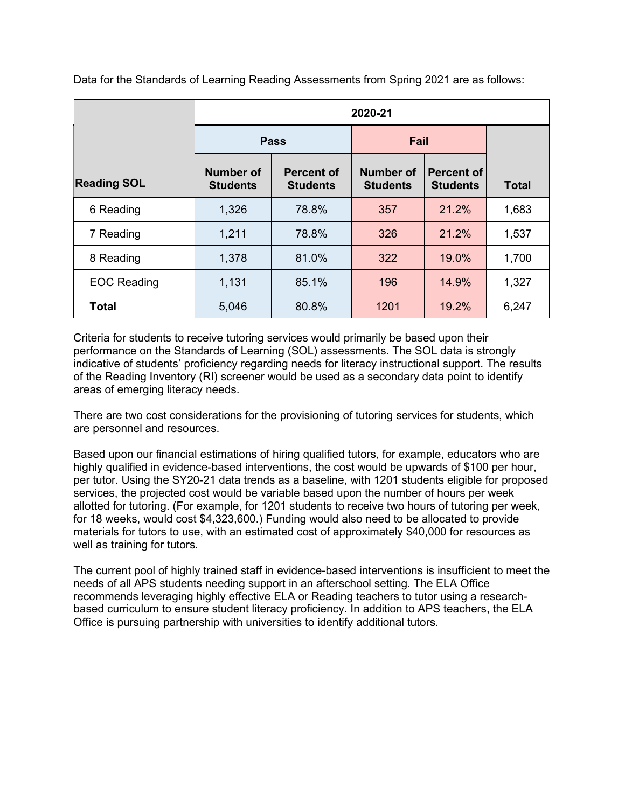|                    | 2020-21                             |                                      |                                     |                               |              |  |  |
|--------------------|-------------------------------------|--------------------------------------|-------------------------------------|-------------------------------|--------------|--|--|
|                    |                                     | <b>Pass</b>                          | Fail                                |                               |              |  |  |
| <b>Reading SOL</b> | <b>Number of</b><br><b>Students</b> | <b>Percent of</b><br><b>Students</b> | <b>Number of</b><br><b>Students</b> | Percent of<br><b>Students</b> | <b>Total</b> |  |  |
| 6 Reading          | 1,326                               | 78.8%                                | 357                                 | 21.2%                         | 1,683        |  |  |
| 7 Reading          | 1,211                               | 78.8%                                | 326                                 | 21.2%                         | 1,537        |  |  |
| 8 Reading          | 1,378                               | 81.0%                                | 322                                 | 19.0%                         | 1,700        |  |  |
| <b>EOC Reading</b> | 1,131                               | 85.1%                                | 196                                 | 14.9%                         | 1,327        |  |  |
| <b>Total</b>       | 5,046                               | 80.8%                                | 1201                                | 19.2%                         | 6,247        |  |  |

Data for the Standards of Learning Reading Assessments from Spring 2021 are as follows:

Criteria for students to receive tutoring services would primarily be based upon their performance on the Standards of Learning (SOL) assessments. The SOL data is strongly indicative of students' proficiency regarding needs for literacy instructional support. The results of the Reading Inventory (RI) screener would be used as a secondary data point to identify areas of emerging literacy needs.

There are two cost considerations for the provisioning of tutoring services for students, which are personnel and resources.

Based upon our financial estimations of hiring qualified tutors, for example, educators who are highly qualified in evidence-based interventions, the cost would be upwards of \$100 per hour, per tutor. Using the SY20-21 data trends as a baseline, with 1201 students eligible for proposed services, the projected cost would be variable based upon the number of hours per week allotted for tutoring. (For example, for 1201 students to receive two hours of tutoring per week, for 18 weeks, would cost \$4,323,600.) Funding would also need to be allocated to provide materials for tutors to use, with an estimated cost of approximately \$40,000 for resources as well as training for tutors.

The current pool of highly trained staff in evidence-based interventions is insufficient to meet the needs of all APS students needing support in an afterschool setting. The ELA Office recommends leveraging highly effective ELA or Reading teachers to tutor using a researchbased curriculum to ensure student literacy proficiency. In addition to APS teachers, the ELA Office is pursuing partnership with universities to identify additional tutors.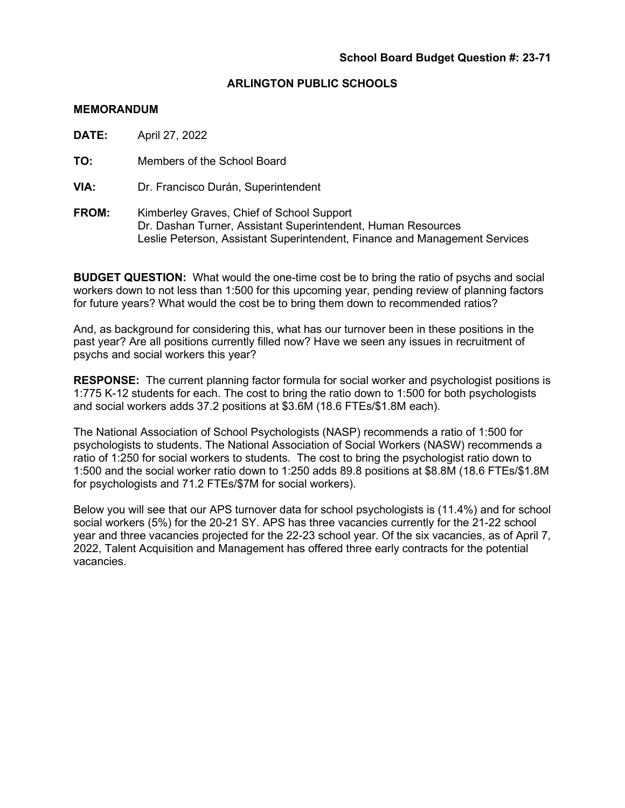### **MEMORANDUM**

**DATE:** April 27, 2022

**TO:** Members of the School Board

**VIA:** Dr. Francisco Durán, Superintendent

**FROM:** Kimberley Graves, Chief of School Support Dr. Dashan Turner, Assistant Superintendent, Human Resources Leslie Peterson, Assistant Superintendent, Finance and Management Services

**BUDGET QUESTION:** What would the one-time cost be to bring the ratio of psychs and social workers down to not less than 1:500 for this upcoming year, pending review of planning factors for future years? What would the cost be to bring them down to recommended ratios?

And, as background for considering this, what has our turnover been in these positions in the past year? Are all positions currently filled now? Have we seen any issues in recruitment of psychs and social workers this year?

**RESPONSE:** The current planning factor formula for social worker and psychologist positions is 1:775 K-12 students for each. The cost to bring the ratio down to 1:500 for both psychologists and social workers adds 37.2 positions at \$3.6M (18.6 FTEs/\$1.8M each).

The National Association of School Psychologists (NASP) recommends a ratio of 1:500 for psychologists to students. The National Association of Social Workers (NASW) recommends a ratio of 1:250 for social workers to students. The cost to bring the psychologist ratio down to 1:500 and the social worker ratio down to 1:250 adds 89.8 positions at \$8.8M (18.6 FTEs/\$1.8M for psychologists and 71.2 FTEs/\$7M for social workers).

Below you will see that our APS turnover data for school psychologists is (11.4%) and for school social workers (5%) for the 20-21 SY. APS has three vacancies currently for the 21-22 school year and three vacancies projected for the 22-23 school year. Of the six vacancies, as of April 7, 2022, Talent Acquisition and Management has offered three early contracts for the potential vacancies.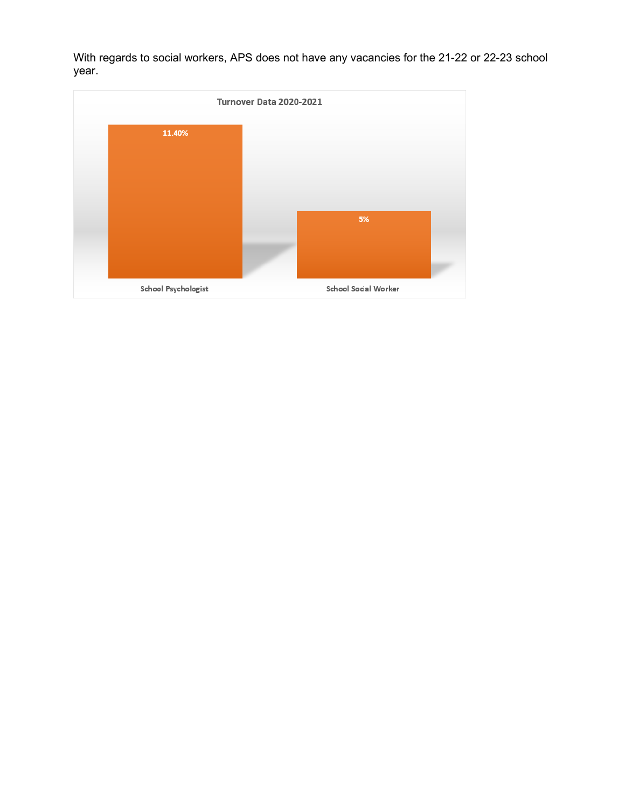With regards to social workers, APS does not have any vacancies for the 21-22 or 22-23 school year.